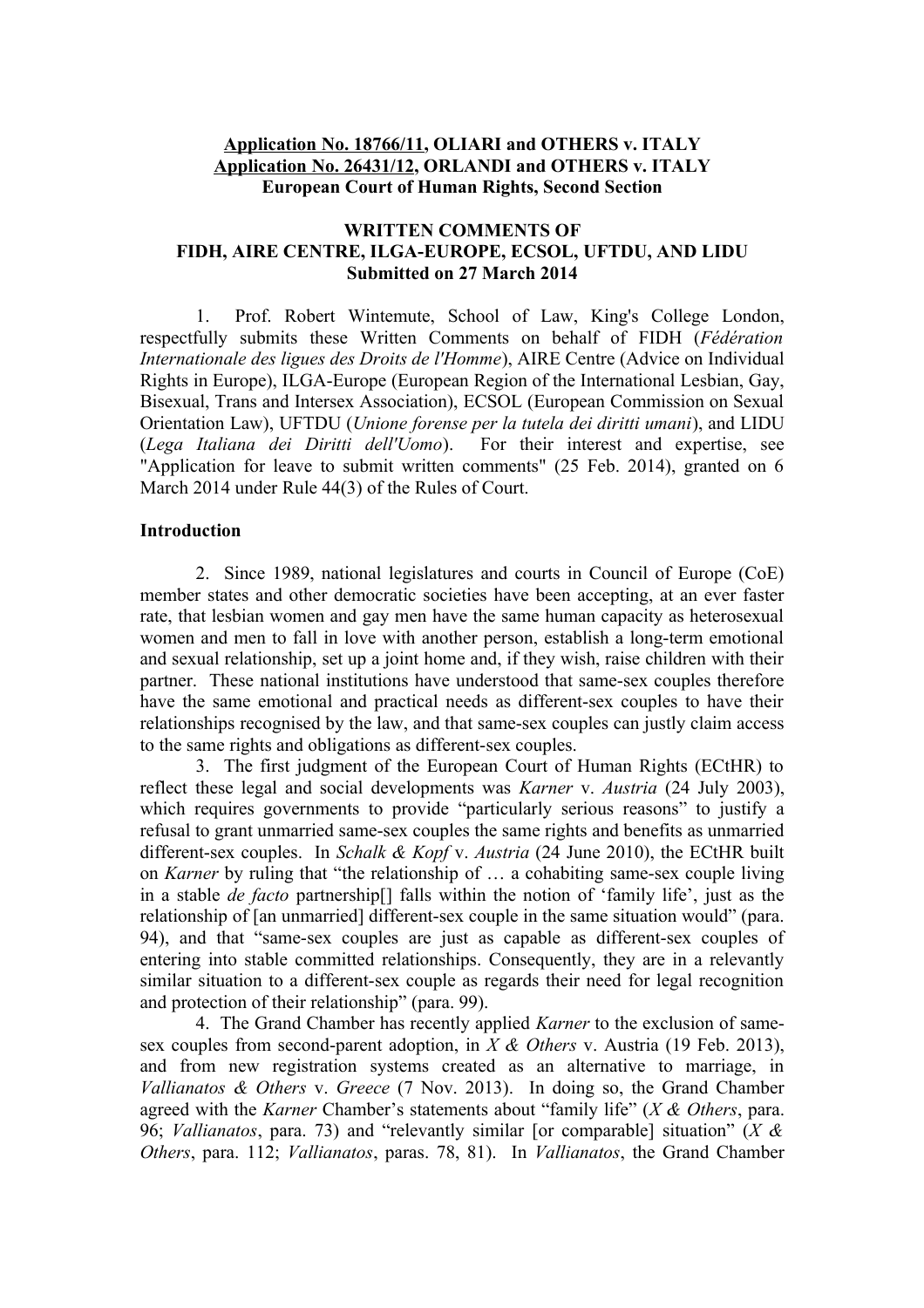# **Application No. 18766/11, OLIARI and OTHERS v. ITALY Application No. 26431/12, ORLANDI and OTHERS v. ITALY European Court of Human Rights, Second Section**

## **WRITTEN COMMENTS OF FIDH, AIRE CENTRE, ILGA-EUROPE, ECSOL, UFTDU, AND LIDU Submitted on 27 March 2014**

1. Prof. Robert Wintemute, School of Law, King's College London, respectfully submits these Written Comments on behalf of FIDH (*Fédération Internationale des ligues des Droits de l'Homme*), AIRE Centre (Advice on Individual Rights in Europe), ILGA-Europe (European Region of the International Lesbian, Gay, Bisexual, Trans and Intersex Association), ECSOL (European Commission on Sexual Orientation Law), UFTDU (*Unione forense per la tutela dei diritti umani*), and LIDU (*Lega Italiana dei Diritti dell'Uomo*). For their interest and expertise, see "Application for leave to submit written comments" (25 Feb. 2014), granted on 6 March 2014 under Rule 44(3) of the Rules of Court.

### **Introduction**

2. Since 1989, national legislatures and courts in Council of Europe (CoE) member states and other democratic societies have been accepting, at an ever faster rate, that lesbian women and gay men have the same human capacity as heterosexual women and men to fall in love with another person, establish a long-term emotional and sexual relationship, set up a joint home and, if they wish, raise children with their partner. These national institutions have understood that same-sex couples therefore have the same emotional and practical needs as different-sex couples to have their relationships recognised by the law, and that same-sex couples can justly claim access to the same rights and obligations as different-sex couples.

3. The first judgment of the European Court of Human Rights (ECtHR) to reflect these legal and social developments was *Karner* v. *Austria* (24 July 2003), which requires governments to provide "particularly serious reasons" to justify a refusal to grant unmarried same-sex couples the same rights and benefits as unmarried different-sex couples. In *Schalk & Kopf* v. *Austria* (24 June 2010), the ECtHR built on *Karner* by ruling that "the relationship of … a cohabiting same-sex couple living in a stable *de facto* partnership[] falls within the notion of 'family life', just as the relationship of [an unmarried] different-sex couple in the same situation would" (para. 94), and that "same-sex couples are just as capable as different-sex couples of entering into stable committed relationships. Consequently, they are in a relevantly similar situation to a different-sex couple as regards their need for legal recognition and protection of their relationship" (para. 99).

4. The Grand Chamber has recently applied *Karner* to the exclusion of samesex couples from second-parent adoption, in *X & Others* v. Austria (19 Feb. 2013), and from new registration systems created as an alternative to marriage, in *Vallianatos & Others* v. *Greece* (7 Nov. 2013). In doing so, the Grand Chamber agreed with the *Karner* Chamber's statements about "family life" (*X & Others*, para. 96; *Vallianatos*, para. 73) and "relevantly similar [or comparable] situation" (*X & Others*, para. 112; *Vallianatos*, paras. 78, 81). In *Vallianatos*, the Grand Chamber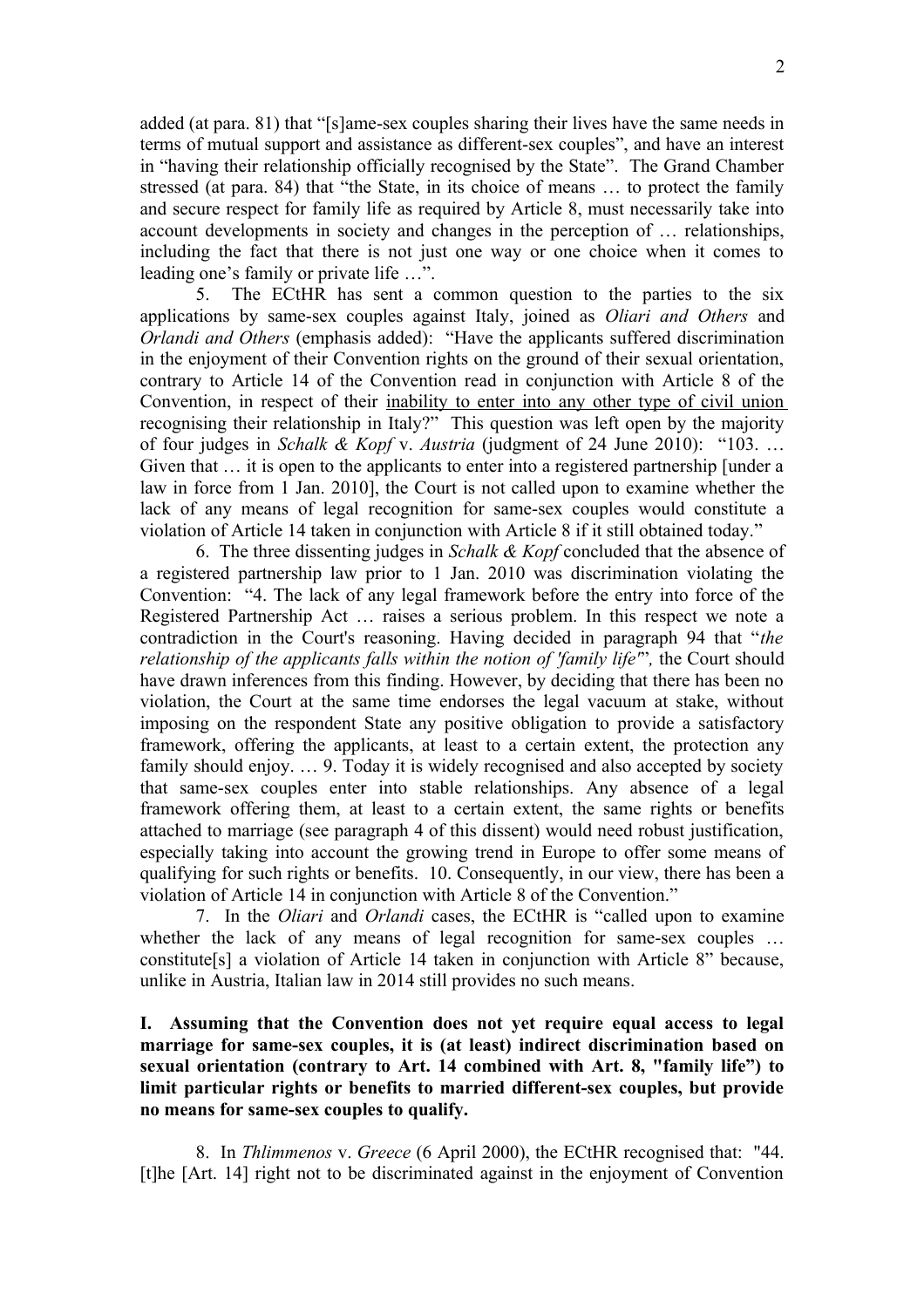added (at para. 81) that "[s]ame-sex couples sharing their lives have the same needs in terms of mutual support and assistance as different-sex couples", and have an interest in "having their relationship officially recognised by the State". The Grand Chamber stressed (at para. 84) that "the State, in its choice of means … to protect the family and secure respect for family life as required by Article 8, must necessarily take into account developments in society and changes in the perception of … relationships, including the fact that there is not just one way or one choice when it comes to leading one's family or private life …".

5. The ECtHR has sent a common question to the parties to the six applications by same-sex couples against Italy, joined as *Oliari and Others* and *Orlandi and Others* (emphasis added): "Have the applicants suffered discrimination in the enjoyment of their Convention rights on the ground of their sexual orientation, contrary to Article 14 of the Convention read in conjunction with Article 8 of the Convention, in respect of their inability to enter into any other type of civil union recognising their relationship in Italy?" This question was left open by the majority of four judges in *Schalk & Kopf* v. *Austria* (judgment of 24 June 2010): "103. … Given that … it is open to the applicants to enter into a registered partnership [under a law in force from 1 Jan. 2010], the Court is not called upon to examine whether the lack of any means of legal recognition for same-sex couples would constitute a violation of Article 14 taken in conjunction with Article 8 if it still obtained today."

6. The three dissenting judges in *Schalk & Kopf* concluded that the absence of a registered partnership law prior to 1 Jan. 2010 was discrimination violating the Convention: "4. The lack of any legal framework before the entry into force of the Registered Partnership Act … raises a serious problem. In this respect we note a contradiction in the Court's reasoning. Having decided in paragraph 94 that "*the relationship of the applicants falls within the notion of 'family life'*"*,* the Court should have drawn inferences from this finding. However, by deciding that there has been no violation, the Court at the same time endorses the legal vacuum at stake, without imposing on the respondent State any positive obligation to provide a satisfactory framework, offering the applicants, at least to a certain extent, the protection any family should enjoy. ... 9. Today it is widely recognised and also accepted by society that same-sex couples enter into stable relationships. Any absence of a legal framework offering them, at least to a certain extent, the same rights or benefits attached to marriage (see paragraph 4 of this dissent) would need robust justification, especially taking into account the growing trend in Europe to offer some means of qualifying for such rights or benefits. 10. Consequently, in our view, there has been a violation of Article 14 in conjunction with Article 8 of the Convention."

7. In the *Oliari* and *Orlandi* cases, the ECtHR is "called upon to examine whether the lack of any means of legal recognition for same-sex couples ... constitute[s] a violation of Article 14 taken in conjunction with Article 8" because, unlike in Austria, Italian law in 2014 still provides no such means.

**I. Assuming that the Convention does not yet require equal access to legal marriage for same-sex couples, it is (at least) indirect discrimination based on sexual orientation (contrary to Art. 14 combined with Art. 8, "family life") to limit particular rights or benefits to married different-sex couples, but provide no means for same-sex couples to qualify.**

8. In *Thlimmenos* v. *Greece* (6 April 2000), the ECtHR recognised that: "44. [t]he [Art. 14] right not to be discriminated against in the enjoyment of Convention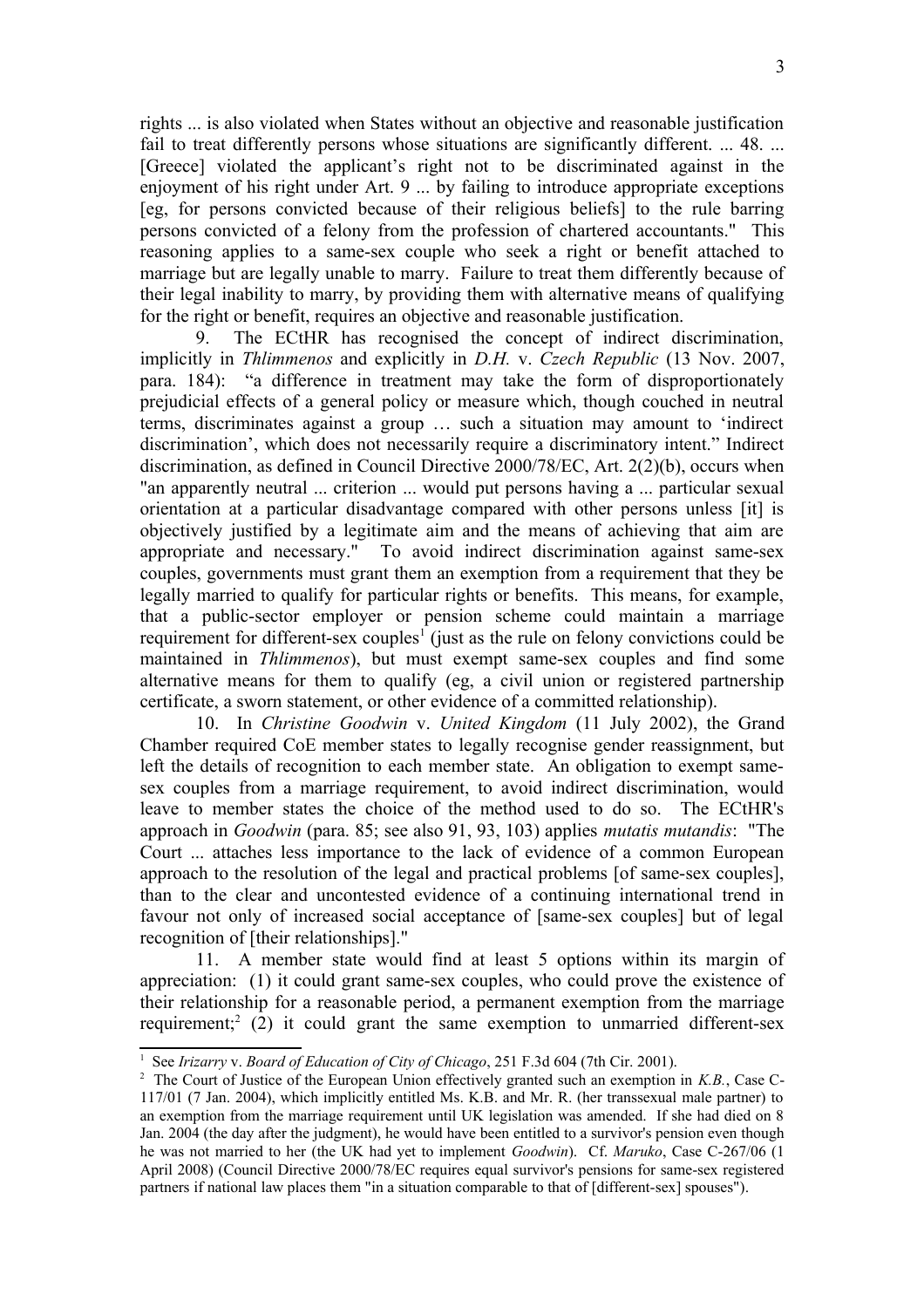rights ... is also violated when States without an objective and reasonable justification fail to treat differently persons whose situations are significantly different. ... 48. ... [Greece] violated the applicant's right not to be discriminated against in the enjoyment of his right under Art. 9 ... by failing to introduce appropriate exceptions [eg, for persons convicted because of their religious beliefs] to the rule barring persons convicted of a felony from the profession of chartered accountants." This reasoning applies to a same-sex couple who seek a right or benefit attached to marriage but are legally unable to marry. Failure to treat them differently because of their legal inability to marry, by providing them with alternative means of qualifying for the right or benefit, requires an objective and reasonable justification.

9. The ECtHR has recognised the concept of indirect discrimination, implicitly in *Thlimmenos* and explicitly in *D.H.* v. *Czech Republic* (13 Nov. 2007, para. 184): "a difference in treatment may take the form of disproportionately prejudicial effects of a general policy or measure which, though couched in neutral terms, discriminates against a group … such a situation may amount to 'indirect discrimination', which does not necessarily require a discriminatory intent." Indirect discrimination, as defined in Council Directive 2000/78/EC, Art. 2(2)(b), occurs when "an apparently neutral ... criterion ... would put persons having a ... particular sexual orientation at a particular disadvantage compared with other persons unless [it] is objectively justified by a legitimate aim and the means of achieving that aim are appropriate and necessary." To avoid indirect discrimination against same-sex couples, governments must grant them an exemption from a requirement that they be legally married to qualify for particular rights or benefits. This means, for example, that a public-sector employer or pension scheme could maintain a marriage requirement for different-sex couples<sup>[1](#page-2-0)</sup> (just as the rule on felony convictions could be maintained in *Thlimmenos*), but must exempt same-sex couples and find some alternative means for them to qualify (eg, a civil union or registered partnership certificate, a sworn statement, or other evidence of a committed relationship).

10. In *Christine Goodwin* v. *United Kingdom* (11 July 2002), the Grand Chamber required CoE member states to legally recognise gender reassignment, but left the details of recognition to each member state. An obligation to exempt samesex couples from a marriage requirement, to avoid indirect discrimination, would leave to member states the choice of the method used to do so. The ECtHR's approach in *Goodwin* (para. 85; see also 91, 93, 103) applies *mutatis mutandis*: "The Court ... attaches less importance to the lack of evidence of a common European approach to the resolution of the legal and practical problems [of same-sex couples], than to the clear and uncontested evidence of a continuing international trend in favour not only of increased social acceptance of [same-sex couples] but of legal recognition of [their relationships]."

11. A member state would find at least 5 options within its margin of appreciation: (1) it could grant same-sex couples, who could prove the existence of their relationship for a reasonable period, a permanent exemption from the marriage requirement;<sup>[2](#page-2-1)</sup> (2) it could grant the same exemption to unmarried different-sex

<span id="page-2-0"></span><sup>&</sup>lt;sup>1</sup> See *Irizarry* v. *Board of Education of City of Chicago*, 251 F.3d 604 (7th Cir. 2001).

<span id="page-2-1"></span><sup>2</sup> The Court of Justice of the European Union effectively granted such an exemption in *K.B.*, Case C-117/01 (7 Jan. 2004), which implicitly entitled Ms. K.B. and Mr. R. (her transsexual male partner) to an exemption from the marriage requirement until UK legislation was amended. If she had died on 8 Jan. 2004 (the day after the judgment), he would have been entitled to a survivor's pension even though he was not married to her (the UK had yet to implement *Goodwin*). Cf. *Maruko*, Case C-267/06 (1 April 2008) (Council Directive 2000/78/EC requires equal survivor's pensions for same-sex registered partners if national law places them "in a situation comparable to that of [different-sex] spouses").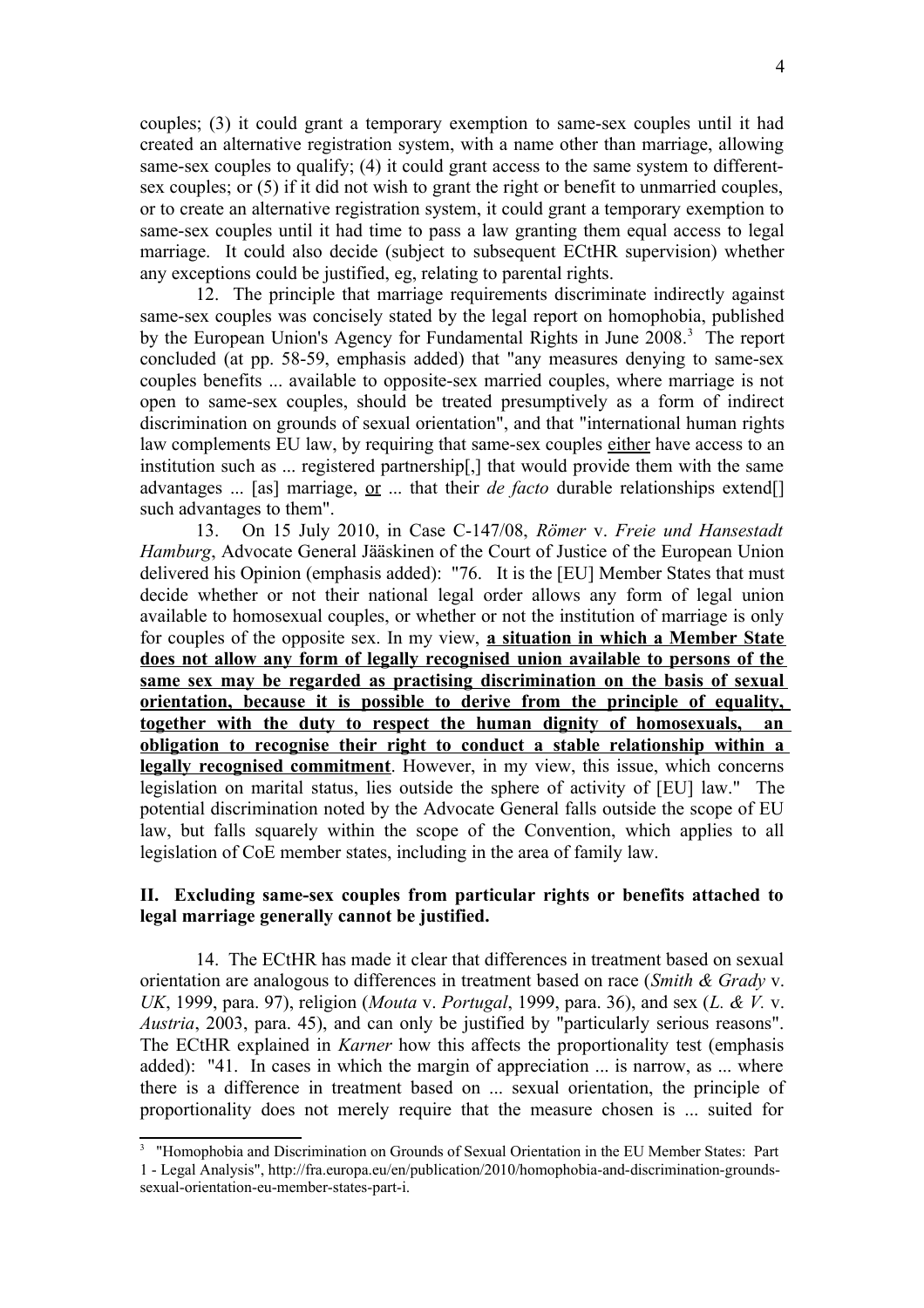couples; (3) it could grant a temporary exemption to same-sex couples until it had created an alternative registration system, with a name other than marriage, allowing same-sex couples to qualify; (4) it could grant access to the same system to differentsex couples; or (5) if it did not wish to grant the right or benefit to unmarried couples, or to create an alternative registration system, it could grant a temporary exemption to same-sex couples until it had time to pass a law granting them equal access to legal marriage. It could also decide (subject to subsequent ECtHR supervision) whether any exceptions could be justified, eg, relating to parental rights.

12. The principle that marriage requirements discriminate indirectly against same-sex couples was concisely stated by the legal report on homophobia, published by the European Union's Agency for Fundamental Rights in June 2008.<sup>[3](#page-3-0)</sup> The report concluded (at pp. 58-59, emphasis added) that "any measures denying to same-sex couples benefits ... available to opposite-sex married couples, where marriage is not open to same-sex couples, should be treated presumptively as a form of indirect discrimination on grounds of sexual orientation", and that "international human rights law complements EU law, by requiring that same-sex couples either have access to an institution such as ... registered partnership[,] that would provide them with the same advantages ... [as] marriage, or ... that their *de facto* durable relationships extend[] such advantages to them".

13. On 15 July 2010, in Case C-147/08, *Römer* v. *Freie und Hansestadt Hamburg*, Advocate General Jääskinen of the Court of Justice of the European Union delivered his Opinion (emphasis added): "76. It is the [EU] Member States that must decide whether or not their national legal order allows any form of legal union available to homosexual couples, or whether or not the institution of marriage is only for couples of the opposite sex. In my view, **a situation in which a Member State does not allow any form of legally recognised union available to persons of the same sex may be regarded as practising discrimination on the basis of sexual orientation, because it is possible to derive from the principle of equality, together with the duty to respect the human dignity of homosexuals, an obligation to recognise their right to conduct a stable relationship within a legally recognised commitment**. However, in my view, this issue, which concerns legislation on marital status, lies outside the sphere of activity of [EU] law." The potential discrimination noted by the Advocate General falls outside the scope of EU law, but falls squarely within the scope of the Convention, which applies to all legislation of CoE member states, including in the area of family law.

## **II. Excluding same-sex couples from particular rights or benefits attached to legal marriage generally cannot be justified.**

14. The ECtHR has made it clear that differences in treatment based on sexual orientation are analogous to differences in treatment based on race (*Smith & Grady* v. *UK*, 1999, para. 97), religion (*Mouta* v. *Portugal*, 1999, para. 36), and sex (*L. & V.* v. *Austria*, 2003, para. 45), and can only be justified by "particularly serious reasons". The ECtHR explained in *Karner* how this affects the proportionality test (emphasis added): "41. In cases in which the margin of appreciation ... is narrow, as ... where there is a difference in treatment based on ... sexual orientation, the principle of proportionality does not merely require that the measure chosen is ... suited for

<span id="page-3-0"></span><sup>&</sup>lt;sup>3</sup> "Homophobia and Discrimination on Grounds of Sexual Orientation in the EU Member States: Part 1 - Legal Analysis", http://fra.europa.eu/en/publication/2010/homophobia-and-discrimination-groundssexual-orientation-eu-member-states-part-i.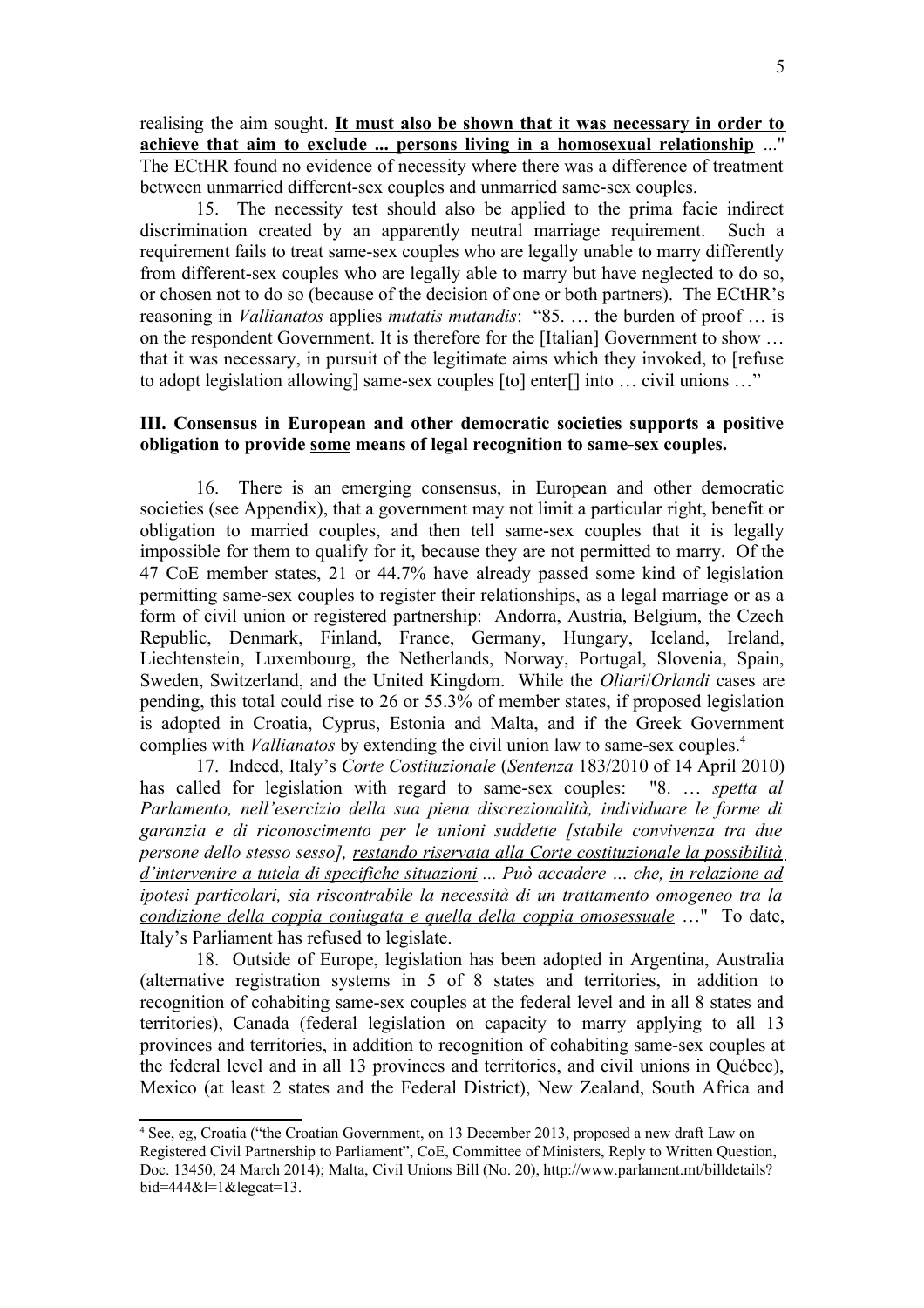realising the aim sought. **It must also be shown that it was necessary in order to achieve that aim to exclude ... persons living in a homosexual relationship** ..." The ECtHR found no evidence of necessity where there was a difference of treatment between unmarried different-sex couples and unmarried same-sex couples.

15. The necessity test should also be applied to the prima facie indirect discrimination created by an apparently neutral marriage requirement. Such a requirement fails to treat same-sex couples who are legally unable to marry differently from different-sex couples who are legally able to marry but have neglected to do so, or chosen not to do so (because of the decision of one or both partners). The ECtHR's reasoning in *Vallianatos* applies *mutatis mutandis*: "85. … the burden of proof … is on the respondent Government. It is therefore for the [Italian] Government to show … that it was necessary, in pursuit of the legitimate aims which they invoked, to [refuse to adopt legislation allowing] same-sex couples [to] enter[] into … civil unions …"

## **III. Consensus in European and other democratic societies supports a positive obligation to provide some means of legal recognition to same-sex couples.**

16. There is an emerging consensus, in European and other democratic societies (see Appendix), that a government may not limit a particular right, benefit or obligation to married couples, and then tell same-sex couples that it is legally impossible for them to qualify for it, because they are not permitted to marry. Of the 47 CoE member states, 21 or 44.7% have already passed some kind of legislation permitting same-sex couples to register their relationships, as a legal marriage or as a form of civil union or registered partnership: Andorra, Austria, Belgium, the Czech Republic, Denmark, Finland, France, Germany, Hungary, Iceland, Ireland, Liechtenstein, Luxembourg, the Netherlands, Norway, Portugal, Slovenia, Spain, Sweden, Switzerland, and the United Kingdom. While the *Oliari*/*Orlandi* cases are pending, this total could rise to 26 or 55.3% of member states, if proposed legislation is adopted in Croatia, Cyprus, Estonia and Malta, and if the Greek Government complies with *Vallianatos* by extending the civil union law to same-sex couples.[4](#page-4-0)

17. Indeed, Italy's *Corte Costituzionale* (*Sentenza* 183/2010 of 14 April 2010) has called for legislation with regard to same-sex couples: "8. … *spetta al Parlamento, nell'esercizio della sua piena discrezionalità, individuare le forme di garanzia e di riconoscimento per le unioni suddette [stabile convivenza tra due persone dello stesso sesso], restando riservata alla Corte costituzionale la possibilità d'intervenire a tutela di specifiche situazioni ... Può accadere … che, in relazione ad ipotesi particolari, sia riscontrabile la necessità di un trattamento omogeneo tra la condizione della coppia coniugata e quella della coppia omosessuale* …" To date, Italy's Parliament has refused to legislate.

18. Outside of Europe, legislation has been adopted in Argentina, Australia (alternative registration systems in 5 of 8 states and territories, in addition to recognition of cohabiting same-sex couples at the federal level and in all 8 states and territories), Canada (federal legislation on capacity to marry applying to all 13 provinces and territories, in addition to recognition of cohabiting same-sex couples at the federal level and in all 13 provinces and territories, and civil unions in Québec), Mexico (at least 2 states and the Federal District), New Zealand, South Africa and

<span id="page-4-0"></span><sup>4</sup> See, eg, Croatia ("the Croatian Government, on 13 December 2013, proposed a new draft Law on Registered Civil Partnership to Parliament", CoE, Committee of Ministers, Reply to Written Question, Doc. 13450, 24 March 2014); Malta, Civil Unions Bill (No. 20), http://www.parlament.mt/billdetails?  $bid = 444&1 = 1&2$ legcat=13.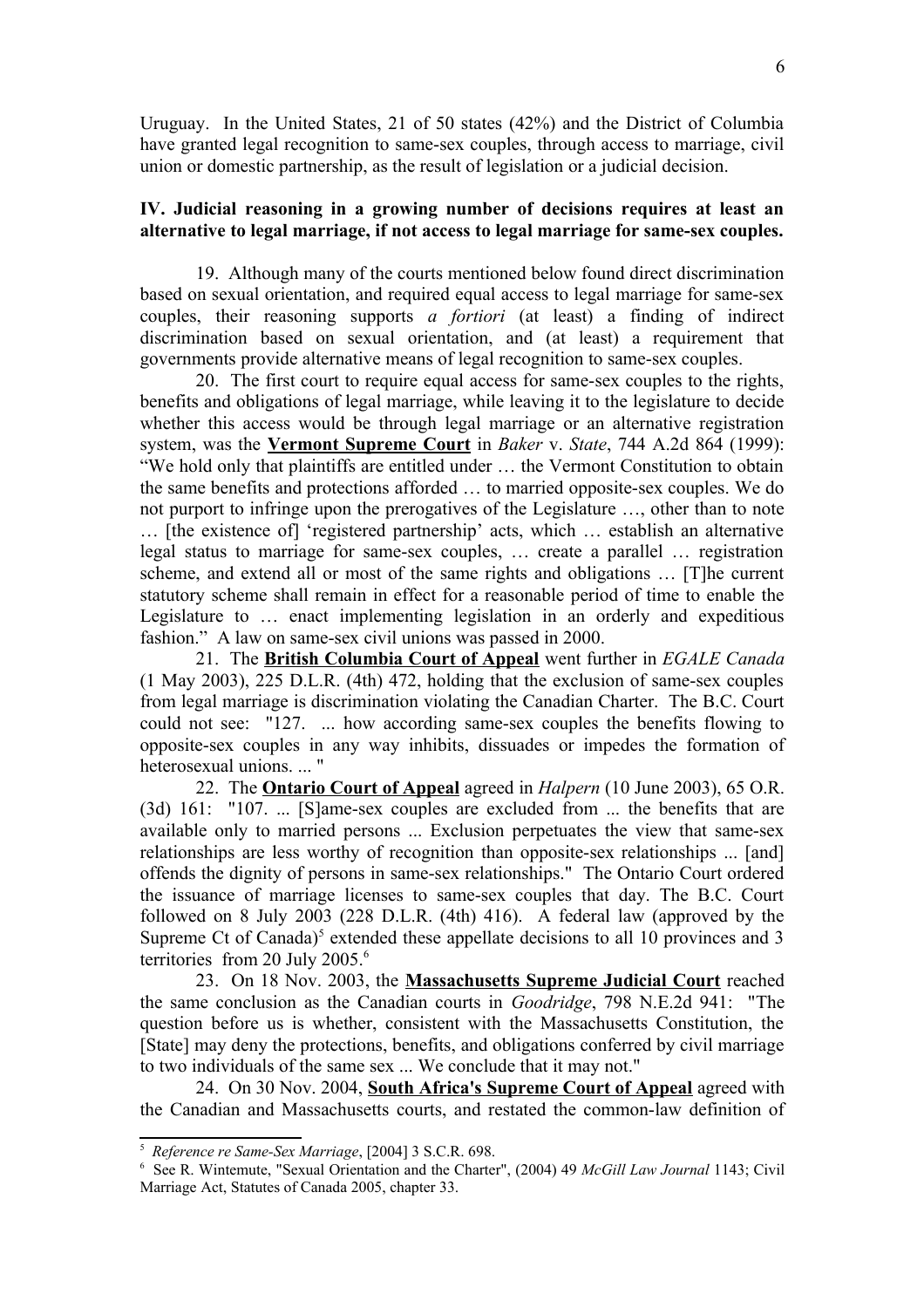Uruguay. In the United States, 21 of 50 states (42%) and the District of Columbia have granted legal recognition to same-sex couples, through access to marriage, civil union or domestic partnership, as the result of legislation or a judicial decision.

## **IV. Judicial reasoning in a growing number of decisions requires at least an alternative to legal marriage, if not access to legal marriage for same-sex couples.**

19. Although many of the courts mentioned below found direct discrimination based on sexual orientation, and required equal access to legal marriage for same-sex couples, their reasoning supports *a fortiori* (at least) a finding of indirect discrimination based on sexual orientation, and (at least) a requirement that governments provide alternative means of legal recognition to same-sex couples.

20. The first court to require equal access for same-sex couples to the rights, benefits and obligations of legal marriage, while leaving it to the legislature to decide whether this access would be through legal marriage or an alternative registration system, was the **Vermont Supreme Court** in *Baker* v. *State*, 744 A.2d 864 (1999): "We hold only that plaintiffs are entitled under … the Vermont Constitution to obtain the same benefits and protections afforded … to married opposite-sex couples. We do not purport to infringe upon the prerogatives of the Legislature …, other than to note … [the existence of] 'registered partnership' acts, which … establish an alternative legal status to marriage for same-sex couples, … create a parallel … registration scheme, and extend all or most of the same rights and obligations … [T]he current statutory scheme shall remain in effect for a reasonable period of time to enable the Legislature to … enact implementing legislation in an orderly and expeditious fashion." A law on same-sex civil unions was passed in 2000.

21. The **British Columbia Court of Appeal** went further in *EGALE Canada* (1 May 2003), 225 D.L.R. (4th) 472, holding that the exclusion of same-sex couples from legal marriage is discrimination violating the Canadian Charter. The B.C. Court could not see: "127. ... how according same-sex couples the benefits flowing to opposite-sex couples in any way inhibits, dissuades or impedes the formation of heterosexual unions. ... "

22. The **Ontario Court of Appeal** agreed in *Halpern* (10 June 2003), 65 O.R. (3d) 161: "107. ... [S]ame-sex couples are excluded from ... the benefits that are available only to married persons ... Exclusion perpetuates the view that same-sex relationships are less worthy of recognition than opposite-sex relationships ... [and] offends the dignity of persons in same-sex relationships." The Ontario Court ordered the issuance of marriage licenses to same-sex couples that day. The B.C. Court followed on 8 July 2003 (228 D.L.R. (4th) 416). A federal law (approved by the Supreme Ct of Canada)<sup>[5](#page-5-0)</sup> extended these appellate decisions to all 10 provinces and 3 territories from 20 July 2005.<sup>[6](#page-5-1)</sup>

23. On 18 Nov. 2003, the **Massachusetts Supreme Judicial Court** reached the same conclusion as the Canadian courts in *Goodridge*, 798 N.E.2d 941: "The question before us is whether, consistent with the Massachusetts Constitution, the [State] may deny the protections, benefits, and obligations conferred by civil marriage to two individuals of the same sex ... We conclude that it may not."

24. On 30 Nov. 2004, **South Africa's Supreme Court of Appeal** agreed with the Canadian and Massachusetts courts, and restated the common-law definition of

<span id="page-5-0"></span><sup>5</sup> *Reference re Same-Sex Marriage*, [2004] 3 S.C.R. 698.

<span id="page-5-1"></span><sup>6</sup> See R. Wintemute, "Sexual Orientation and the Charter", (2004) 49 *McGill Law Journal* 1143; Civil Marriage Act, Statutes of Canada 2005, chapter 33.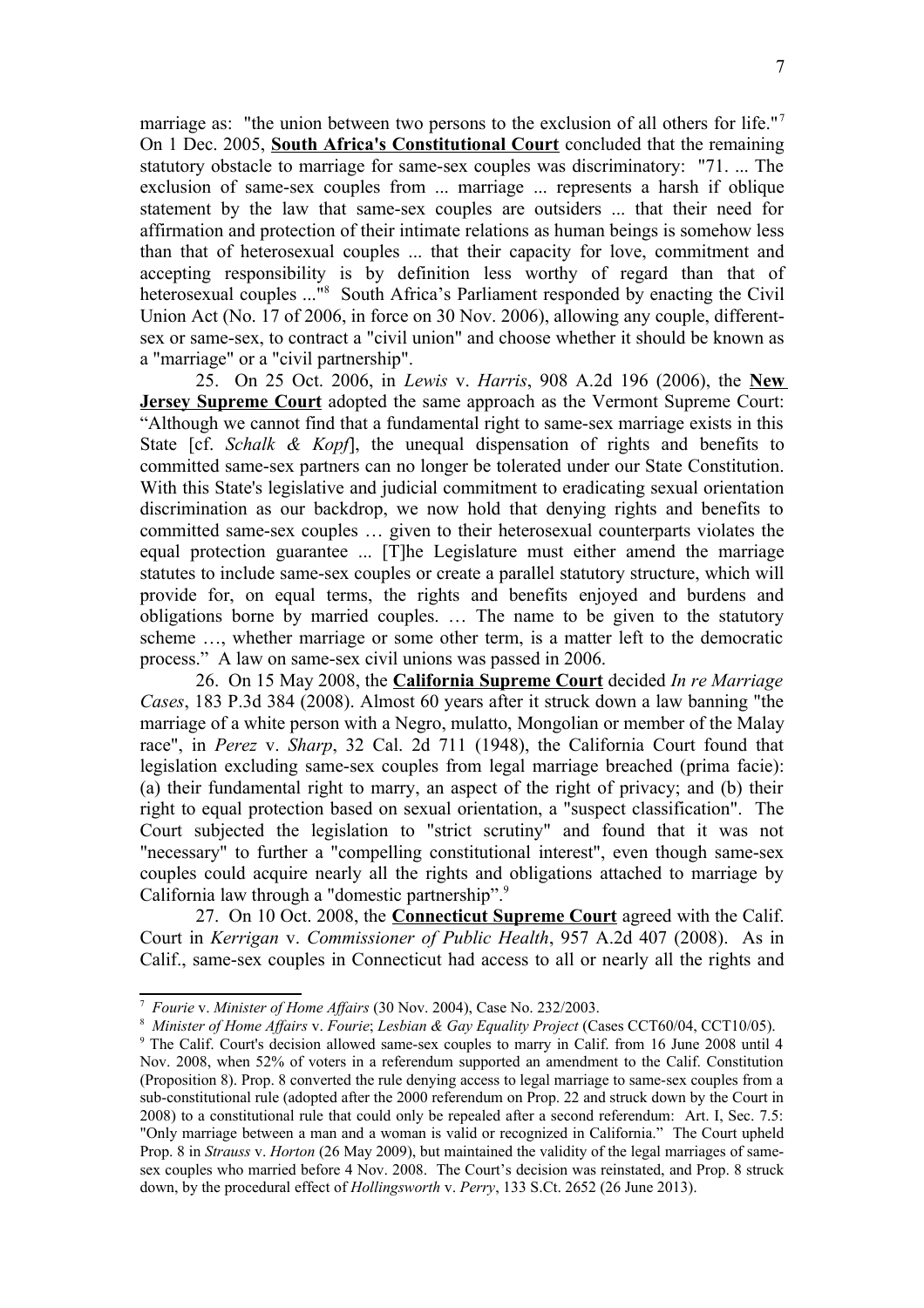marriage as: "the union between two persons to the exclusion of all others for life."<sup>[7](#page-6-0)</sup> On 1 Dec. 2005, **South Africa's Constitutional Court** concluded that the remaining statutory obstacle to marriage for same-sex couples was discriminatory: "71. ... The exclusion of same-sex couples from ... marriage ... represents a harsh if oblique statement by the law that same-sex couples are outsiders ... that their need for affirmation and protection of their intimate relations as human beings is somehow less than that of heterosexual couples ... that their capacity for love, commitment and accepting responsibility is by definition less worthy of regard than that of heterosexual couples ..."<sup>[8](#page-6-1)</sup> South Africa's Parliament responded by enacting the Civil Union Act (No. 17 of 2006, in force on 30 Nov. 2006), allowing any couple, differentsex or same-sex, to contract a "civil union" and choose whether it should be known as a "marriage" or a "civil partnership".

25. On 25 Oct. 2006, in *Lewis* v. *Harris*, 908 A.2d 196 (2006), the **New Jersey Supreme Court** adopted the same approach as the Vermont Supreme Court: "Although we cannot find that a fundamental right to same-sex marriage exists in this State [cf. *Schalk & Kopf*], the unequal dispensation of rights and benefits to committed same-sex partners can no longer be tolerated under our State Constitution. With this State's legislative and judicial commitment to eradicating sexual orientation discrimination as our backdrop, we now hold that denying rights and benefits to committed same-sex couples … given to their heterosexual counterparts violates the equal protection guarantee ... [T]he Legislature must either amend the marriage statutes to include same-sex couples or create a parallel statutory structure, which will provide for, on equal terms, the rights and benefits enjoyed and burdens and obligations borne by married couples. … The name to be given to the statutory scheme …, whether marriage or some other term, is a matter left to the democratic process." A law on same-sex civil unions was passed in 2006.

26. On 15 May 2008, the **California Supreme Court** decided *In re Marriage Cases*, 183 P.3d 384 (2008). Almost 60 years after it struck down a law banning "the marriage of a white person with a Negro, mulatto, Mongolian or member of the Malay race", in *Perez* v. *Sharp*, 32 Cal. 2d 711 (1948), the California Court found that legislation excluding same-sex couples from legal marriage breached (prima facie): (a) their fundamental right to marry, an aspect of the right of privacy; and (b) their right to equal protection based on sexual orientation, a "suspect classification". The Court subjected the legislation to "strict scrutiny" and found that it was not "necessary" to further a "compelling constitutional interest", even though same-sex couples could acquire nearly all the rights and obligations attached to marriage by California law through a "domestic partnership".<sup>[9](#page-6-2)</sup>

27. On 10 Oct. 2008, the **Connecticut Supreme Court** agreed with the Calif. Court in *Kerrigan* v. *Commissioner of Public Health*, 957 A.2d 407 (2008). As in Calif., same-sex couples in Connecticut had access to all or nearly all the rights and

<span id="page-6-0"></span><sup>7</sup> *Fourie* v. *Minister of Home Affairs* (30 Nov. 2004), Case No. 232/2003.

<span id="page-6-1"></span><sup>8</sup> *Minister of Home Affairs* v. *Fourie*; *Lesbian & Gay Equality Project* (Cases CCT60/04, CCT10/05).

<span id="page-6-2"></span><sup>9</sup> The Calif. Court's decision allowed same-sex couples to marry in Calif. from 16 June 2008 until 4 Nov. 2008, when 52% of voters in a referendum supported an amendment to the Calif. Constitution (Proposition 8). Prop. 8 converted the rule denying access to legal marriage to same-sex couples from a sub-constitutional rule (adopted after the 2000 referendum on Prop. 22 and struck down by the Court in 2008) to a constitutional rule that could only be repealed after a second referendum: Art. I, Sec. 7.5: "Only marriage between a man and a woman is valid or recognized in California." The Court upheld Prop. 8 in *Strauss* v. *Horton* (26 May 2009), but maintained the validity of the legal marriages of samesex couples who married before 4 Nov. 2008. The Court's decision was reinstated, and Prop. 8 struck down, by the procedural effect of *Hollingsworth* v. *Perry*, 133 S.Ct. 2652 (26 June 2013).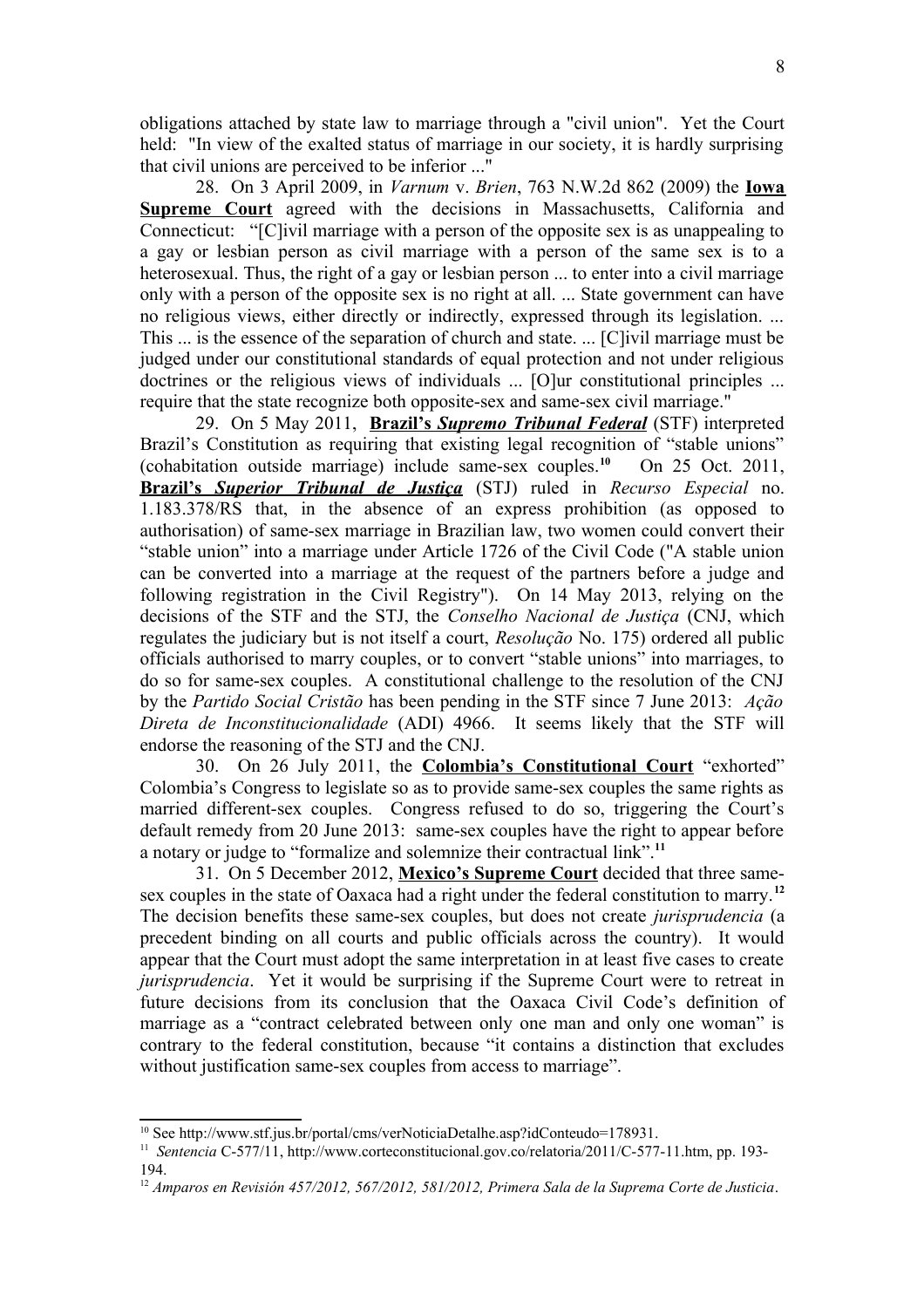obligations attached by state law to marriage through a "civil union". Yet the Court held: "In view of the exalted status of marriage in our society, it is hardly surprising that civil unions are perceived to be inferior ..."

28. On 3 April 2009, in *Varnum* v. *Brien*, 763 N.W.2d 862 (2009) the **Iowa Supreme Court** agreed with the decisions in Massachusetts, California and Connecticut: "[C]ivil marriage with a person of the opposite sex is as unappealing to a gay or lesbian person as civil marriage with a person of the same sex is to a heterosexual. Thus, the right of a gay or lesbian person ... to enter into a civil marriage only with a person of the opposite sex is no right at all. ... State government can have no religious views, either directly or indirectly, expressed through its legislation. ... This ... is the essence of the separation of church and state. ... [C]ivil marriage must be judged under our constitutional standards of equal protection and not under religious doctrines or the religious views of individuals ... [O]ur constitutional principles ... require that the state recognize both opposite-sex and same-sex civil marriage."

29. On 5 May 2011, **Brazil's** *Supremo Tribunal Federal* (STF) interpreted Brazil's Constitution as requiring that existing legal recognition of "stable unions" (cohabitation outside marriage) include same-sex couples.**[10](#page-7-0)** On 25 Oct. 2011,  **Brazil's** *Superior Tribunal de Justiça* (STJ) ruled in *Recurso Especial* no. 1.183.378/RS that, in the absence of an express prohibition (as opposed to authorisation) of same-sex marriage in Brazilian law, two women could convert their "stable union" into a marriage under Article 1726 of the Civil Code ("A stable union can be converted into a marriage at the request of the partners before a judge and following registration in the Civil Registry"). On 14 May 2013, relying on the decisions of the STF and the STJ, the *Conselho Nacional de Justiça* (CNJ, which regulates the judiciary but is not itself a court, *Resolução* No. 175) ordered all public officials authorised to marry couples, or to convert "stable unions" into marriages, to do so for same-sex couples. A constitutional challenge to the resolution of the CNJ by the *Partido Social Cristão* has been pending in the STF since 7 June 2013: *Ação Direta de Inconstitucionalidade* (ADI) 4966. It seems likely that the STF will endorse the reasoning of the STJ and the CNJ.

30. On 26 July 2011, the **Colombia's Constitutional Court** "exhorted" Colombia's Congress to legislate so as to provide same-sex couples the same rights as married different-sex couples. Congress refused to do so, triggering the Court's default remedy from 20 June 2013: same-sex couples have the right to appear before a notary or judge to "formalize and solemnize their contractual link".**[11](#page-7-1)**

31. On 5 December 2012, **Mexico's Supreme Court** decided that three samesex couples in the state of Oaxaca had a right under the federal constitution to marry.**[12](#page-7-2)** The decision benefits these same-sex couples, but does not create *jurisprudencia* (a precedent binding on all courts and public officials across the country). It would appear that the Court must adopt the same interpretation in at least five cases to create *jurisprudencia*. Yet it would be surprising if the Supreme Court were to retreat in future decisions from its conclusion that the Oaxaca Civil Code's definition of marriage as a "contract celebrated between only one man and only one woman" is contrary to the federal constitution, because "it contains a distinction that excludes without justification same-sex couples from access to marriage".

<span id="page-7-0"></span><sup>&</sup>lt;sup>10</sup> See http://www.stf.jus.br/portal/cms/verNoticiaDetalhe.asp?idConteudo=178931.

<span id="page-7-1"></span><sup>&</sup>lt;sup>11</sup> Sentencia C-577/11, http://www.corteconstitucional.gov.co/relatoria/2011/C-577-11.htm, pp. 193-194.

<span id="page-7-2"></span><sup>12</sup> *Amparos en Revisión 457/2012, 567/2012, 581/2012, Primera Sala de la Suprema Corte de Justicia*.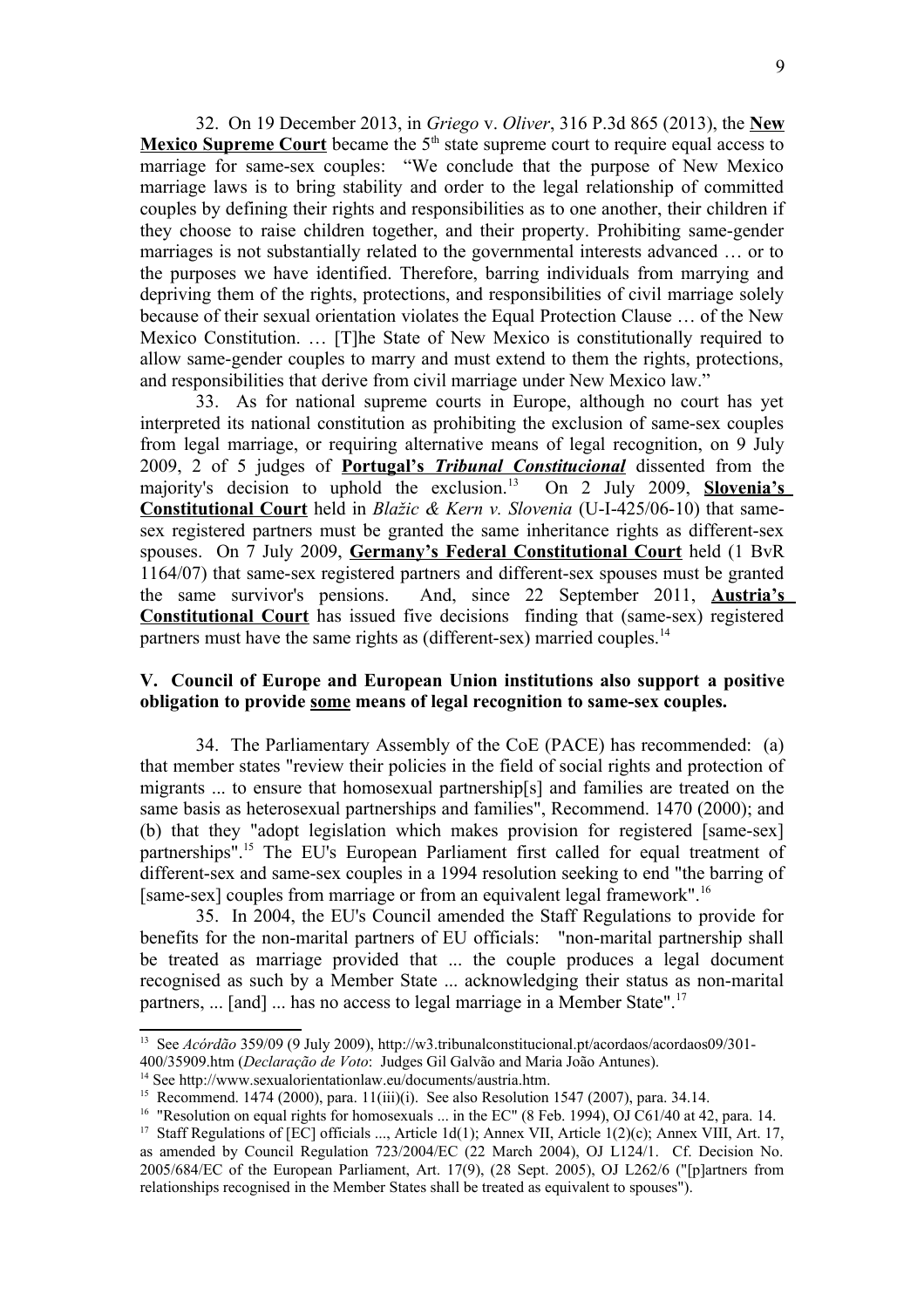32. On 19 December 2013, in *Griego* v. *Oliver*, 316 P.3d 865 (2013), the **New Mexico Supreme Court** became the 5<sup>th</sup> state supreme court to require equal access to marriage for same-sex couples: "We conclude that the purpose of New Mexico marriage laws is to bring stability and order to the legal relationship of committed couples by defining their rights and responsibilities as to one another, their children if they choose to raise children together, and their property. Prohibiting same-gender marriages is not substantially related to the governmental interests advanced … or to the purposes we have identified. Therefore, barring individuals from marrying and depriving them of the rights, protections, and responsibilities of civil marriage solely because of their sexual orientation violates the Equal Protection Clause … of the New Mexico Constitution. … [T]he State of New Mexico is constitutionally required to allow same-gender couples to marry and must extend to them the rights, protections, and responsibilities that derive from civil marriage under New Mexico law."

33. As for national supreme courts in Europe, although no court has yet interpreted its national constitution as prohibiting the exclusion of same-sex couples from legal marriage, or requiring alternative means of legal recognition, on 9 July 2009, 2 of 5 judges of **Portugal's** *Tribunal Constitucional* dissented from the majority's decision to uphold the exclusion.[13](#page-8-0) On 2 July 2009, **Slovenia's Constitutional Court** held in *Blažic & Kern v. Slovenia* (U-I-425/06-10) that samesex registered partners must be granted the same inheritance rights as different-sex spouses. On 7 July 2009, **Germany's Federal Constitutional Court** held (1 BvR 1164/07) that same-sex registered partners and different-sex spouses must be granted the same survivor's pensions. And, since 22 September 2011, **Austria's Constitutional Court** has issued five decisions finding that (same-sex) registered partners must have the same rights as (different-sex) married couples.<sup>[14](#page-8-1)</sup>

## **V. Council of Europe and European Union institutions also support a positive obligation to provide some means of legal recognition to same-sex couples.**

34. The Parliamentary Assembly of the CoE (PACE) has recommended: (a) that member states "review their policies in the field of social rights and protection of migrants ... to ensure that homosexual partnership[s] and families are treated on the same basis as heterosexual partnerships and families", Recommend. 1470 (2000); and (b) that they "adopt legislation which makes provision for registered [same-sex] partnerships".[15](#page-8-2) The EU's European Parliament first called for equal treatment of different-sex and same-sex couples in a 1994 resolution seeking to end "the barring of [same-sex] couples from marriage or from an equivalent legal framework".<sup>[16](#page-8-3)</sup>

35. In 2004, the EU's Council amended the Staff Regulations to provide for benefits for the non-marital partners of EU officials: "non-marital partnership shall be treated as marriage provided that ... the couple produces a legal document recognised as such by a Member State ... acknowledging their status as non-marital partners, ... [and] ... has no access to legal marriage in a Member State".<sup>[17](#page-8-4)</sup>

<span id="page-8-0"></span><sup>&</sup>lt;sup>13</sup> See *Acórdão* 359/09 (9 July 2009), http://w3.tribunalconstitucional.pt/acordaos/acordaos09/301-

<sup>400/35909.</sup>htm (*Declaração de Voto*: Judges Gil Galvão and Maria João Antunes).

<span id="page-8-1"></span><sup>14</sup> See http://www.sexualorientationlaw.eu/documents/austria.htm.

<span id="page-8-2"></span><sup>&</sup>lt;sup>15</sup> Recommend. 1474 (2000), para. 11(iii)(i). See also Resolution 1547 (2007), para. 34.14.

<span id="page-8-3"></span><sup>&</sup>lt;sup>16</sup> "Resolution on equal rights for homosexuals ... in the EC" (8 Feb. 1994), OJ C61/40 at 42, para. 14.

<span id="page-8-4"></span><sup>&</sup>lt;sup>17</sup> Staff Regulations of [EC] officials ..., Article 1d(1); Annex VII, Article 1(2)(c); Annex VIII, Art. 17, as amended by Council Regulation 723/2004/EC (22 March 2004), OJ L124/1. Cf. Decision No. 2005/684/EC of the European Parliament, Art. 17(9), (28 Sept. 2005), OJ L262/6 ("[p]artners from relationships recognised in the Member States shall be treated as equivalent to spouses").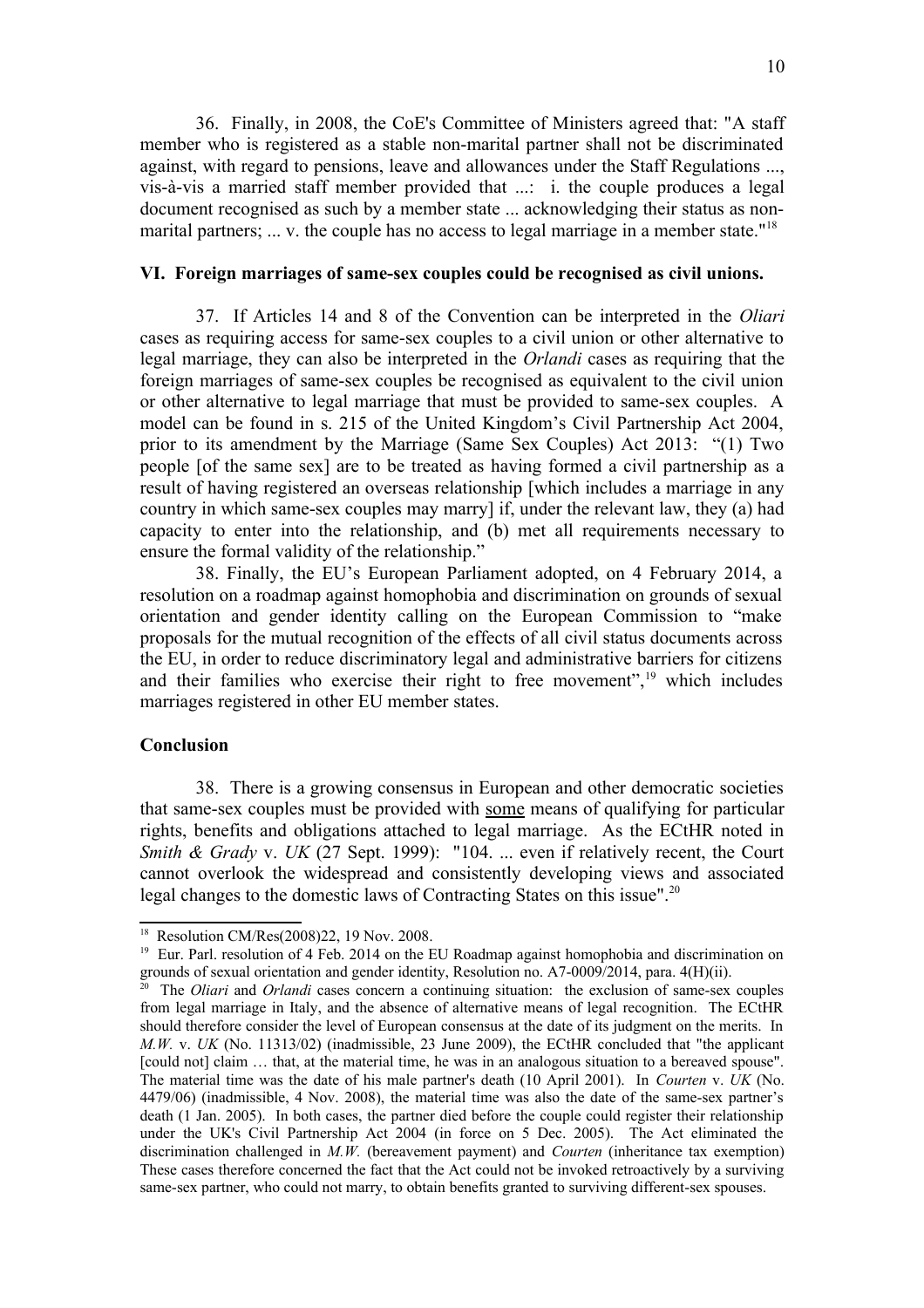36. Finally, in 2008, the CoE's Committee of Ministers agreed that: "A staff member who is registered as a stable non-marital partner shall not be discriminated against, with regard to pensions, leave and allowances under the Staff Regulations ..., vis-à-vis a married staff member provided that ...: i. the couple produces a legal document recognised as such by a member state ... acknowledging their status as non-marital partners; ... v. the couple has no access to legal marriage in a member state."<sup>[18](#page-9-0)</sup>

#### **VI. Foreign marriages of same-sex couples could be recognised as civil unions.**

37. If Articles 14 and 8 of the Convention can be interpreted in the *Oliari* cases as requiring access for same-sex couples to a civil union or other alternative to legal marriage, they can also be interpreted in the *Orlandi* cases as requiring that the foreign marriages of same-sex couples be recognised as equivalent to the civil union or other alternative to legal marriage that must be provided to same-sex couples. A model can be found in s. 215 of the United Kingdom's Civil Partnership Act 2004, prior to its amendment by the Marriage (Same Sex Couples) Act 2013: "(1) Two people [of the same sex] are to be treated as having formed a civil partnership as a result of having registered an overseas relationship [which includes a marriage in any country in which same-sex couples may marry] if, under the relevant law, they (a) had capacity to enter into the relationship, and (b) met all requirements necessary to ensure the formal validity of the relationship."

38. Finally, the EU's European Parliament adopted, on 4 February 2014, a resolution on a roadmap against homophobia and discrimination on grounds of sexual orientation and gender identity calling on the European Commission to "make proposals for the mutual recognition of the effects of all civil status documents across the EU, in order to reduce discriminatory legal and administrative barriers for citizens and their families who exercise their right to free movement", $19$  which includes marriages registered in other EU member states.

## **Conclusion**

38. There is a growing consensus in European and other democratic societies that same-sex couples must be provided with some means of qualifying for particular rights, benefits and obligations attached to legal marriage. As the ECtHR noted in *Smith & Grady v. UK* (27 Sept. 1999): "104. ... even if relatively recent, the Court cannot overlook the widespread and consistently developing views and associated legal changes to the domestic laws of Contracting States on this issue".[20](#page-9-2)

<span id="page-9-0"></span><sup>18</sup> Resolution CM/Res(2008)22, 19 Nov. 2008.

<span id="page-9-1"></span><sup>&</sup>lt;sup>19</sup> Eur. Parl. resolution of 4 Feb. 2014 on the EU Roadmap against homophobia and discrimination on grounds of sexual orientation and gender identity, Resolution no. A7-0009/2014, para. 4(H)(ii).

<span id="page-9-2"></span><sup>20</sup> The *Oliari* and *Orlandi* cases concern a continuing situation: the exclusion of same-sex couples from legal marriage in Italy, and the absence of alternative means of legal recognition. The ECtHR should therefore consider the level of European consensus at the date of its judgment on the merits. In *M.W.* v. *UK* (No. 11313/02) (inadmissible, 23 June 2009), the ECtHR concluded that "the applicant [could not] claim ... that, at the material time, he was in an analogous situation to a bereaved spouse". The material time was the date of his male partner's death (10 April 2001). In *Courten* v. *UK* (No. 4479/06) (inadmissible, 4 Nov. 2008), the material time was also the date of the same-sex partner's death (1 Jan. 2005). In both cases, the partner died before the couple could register their relationship under the UK's Civil Partnership Act 2004 (in force on 5 Dec. 2005). The Act eliminated the discrimination challenged in *M.W.* (bereavement payment) and *Courten* (inheritance tax exemption) These cases therefore concerned the fact that the Act could not be invoked retroactively by a surviving same-sex partner, who could not marry, to obtain benefits granted to surviving different-sex spouses.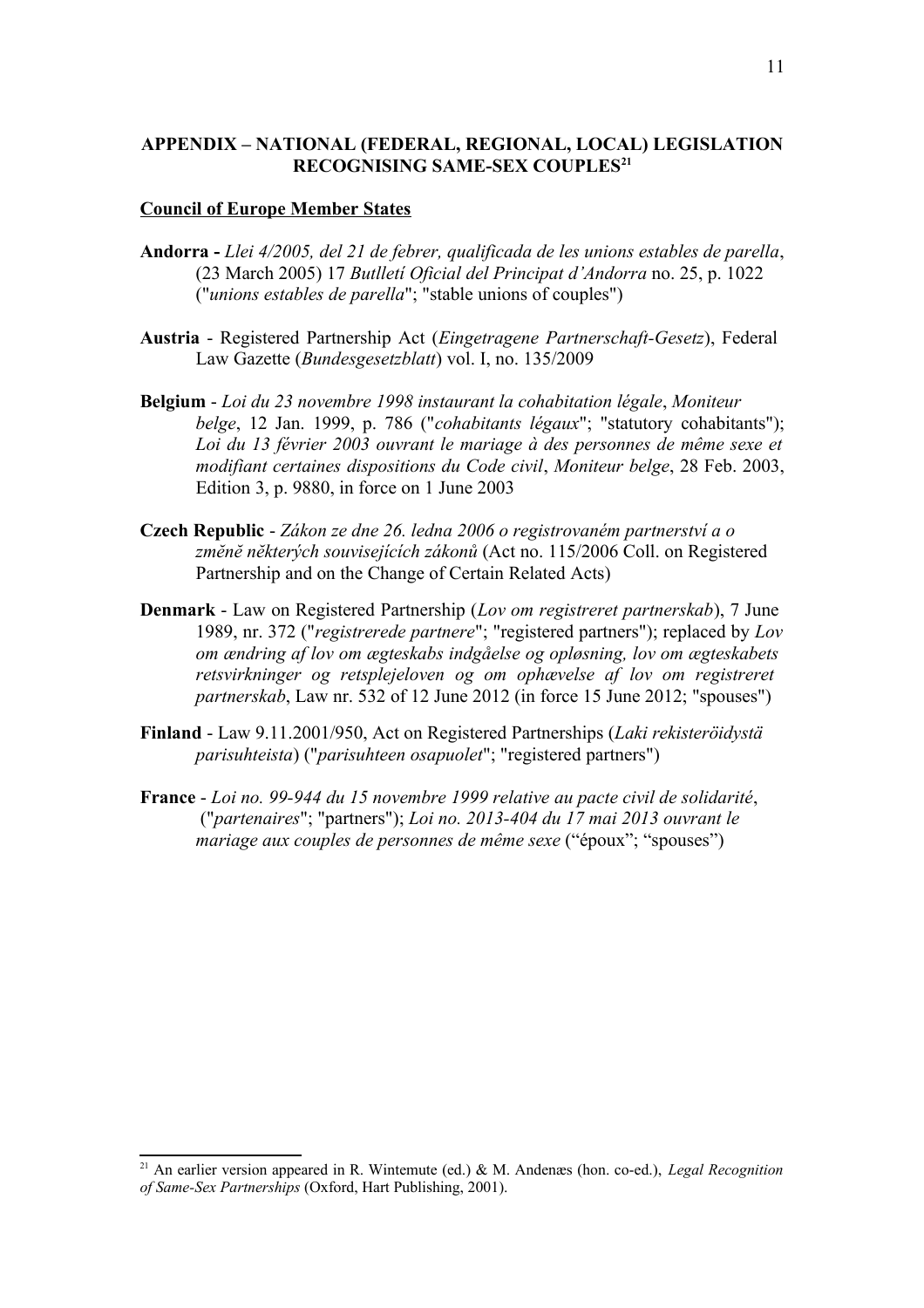# **APPENDIX – NATIONAL (FEDERAL, REGIONAL, LOCAL) LEGISLATION RECOGNISING SAME-SEX COUPLES[21](#page-10-0)**

#### **Council of Europe Member States**

- **Andorra -** *Llei 4/2005, del 21 de febrer, qualificada de les unions estables de parella*, (23 March 2005) 17 *Butlletí Oficial del Principat d'Andorra* no. 25, p. 1022 ("*unions estables de parella*"; "stable unions of couples")
- **Austria** Registered Partnership Act (*Eingetragene Partnerschaft-Gesetz*), Federal Law Gazette (*Bundesgesetzblatt*) vol. I, no. 135/2009
- **Belgium** *Loi du 23 novembre 1998 instaurant la cohabitation légale*, *Moniteur belge*, 12 Jan. 1999, p. 786 ("*cohabitants légaux*"; "statutory cohabitants"); *Loi du 13 février 2003 ouvrant le mariage à des personnes de même sexe et modifiant certaines dispositions du Code civil*, *Moniteur belge*, 28 Feb. 2003, Edition 3, p. 9880, in force on 1 June 2003
- **Czech Republic** *Zákon ze dne 26. ledna 2006 o registrovaném partnerství a o zmĕnĕ nĕkterých souvisejících zákonů* (Act no. 115/2006 Coll. on Registered Partnership and on the Change of Certain Related Acts)
- **Denmark** Law on Registered Partnership (*Lov om registreret partnerskab*), 7 June 1989, nr. 372 ("*registrerede partnere*"; "registered partners"); replaced by *Lov om ændring af lov om ægteskabs indgåelse og opløsning, lov om ægteskabets retsvirkninger og retsplejeloven og om ophævelse af lov om registreret partnerskab*, Law nr. 532 of 12 June 2012 (in force 15 June 2012; "spouses")
- **Finland** Law 9.11.2001/950, Act on Registered Partnerships (*Laki rekisteröidystä parisuhteista*) ("*parisuhteen osapuolet*"; "registered partners")
- **France** *Loi no. 99-944 du 15 novembre 1999 relative au pacte civil de solidarité*, ("*partenaires*"; "partners"); *Loi no. 2013-404 du 17 mai 2013 ouvrant le mariage aux couples de personnes de même sexe* ("époux"; "spouses")

<span id="page-10-0"></span><sup>21</sup> An earlier version appeared in R. Wintemute (ed.) & M. Andenæs (hon. co-ed.), *Legal Recognition of Same-Sex Partnerships* (Oxford, Hart Publishing, 2001).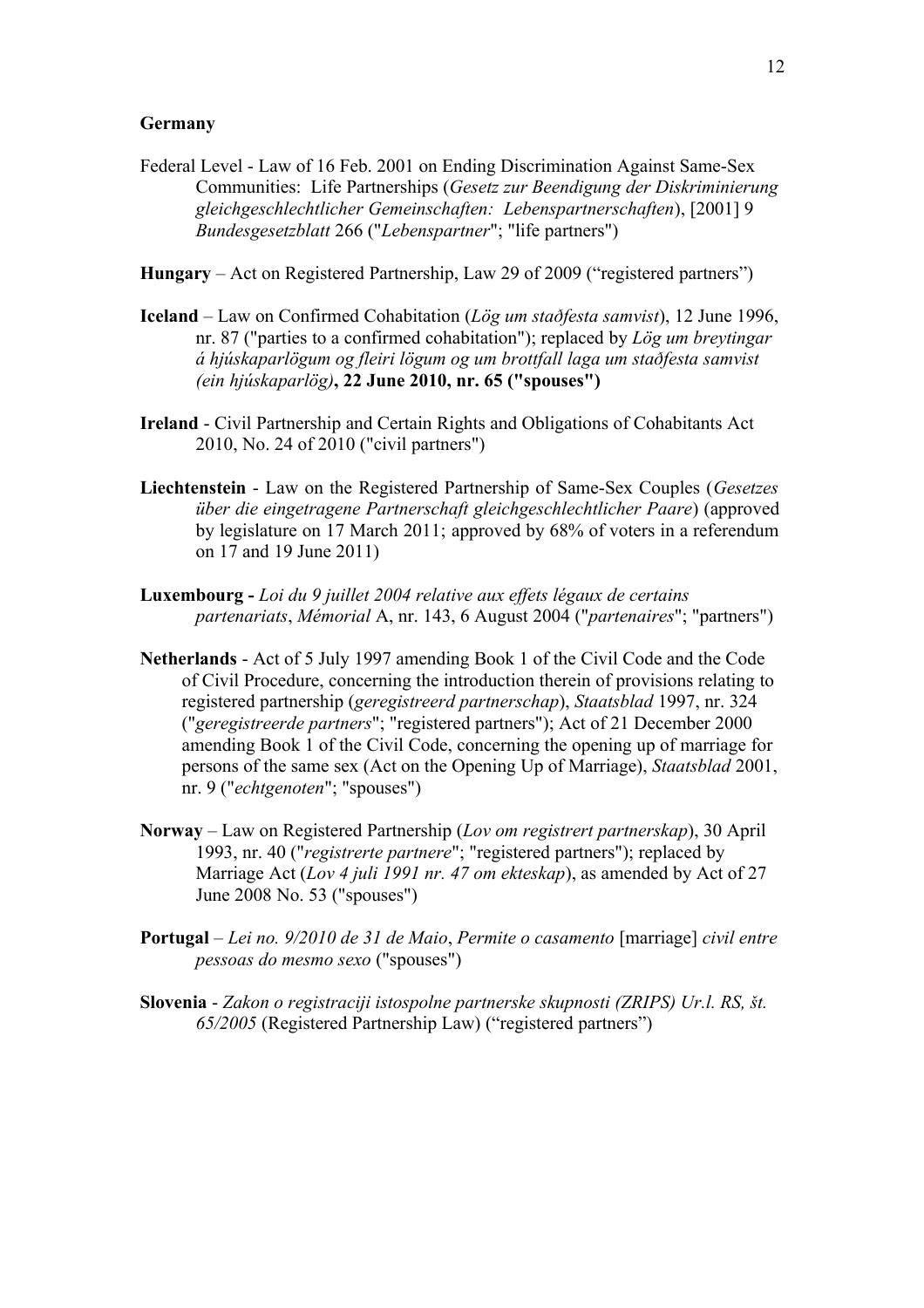## **Germany**

- Federal Level Law of 16 Feb. 2001 on Ending Discrimination Against Same-Sex Communities: Life Partnerships (*Gesetz zur Beendigung der Diskriminierung gleichgeschlechtlicher Gemeinschaften: Lebenspartnerschaften*), [2001] 9 *Bundesgesetzblatt* 266 ("*Lebenspartner*"; "life partners")
- **Hungary** Act on Registered Partnership, Law 29 of 2009 ("registered partners")
- **Iceland**  Law on Confirmed Cohabitation (*Lög um staðfesta samvist*), 12 June 1996, nr. 87 ("parties to a confirmed cohabitation"); replaced by *Lög um breytingar á hjúskaparlögum og fleiri lögum og um brottfall laga um staðfesta samvist (ein hjúskaparlög)***, 22 June 2010, nr. 65 ("spouses")**
- **Ireland** Civil Partnership and Certain Rights and Obligations of Cohabitants Act 2010, No. 24 of 2010 ("civil partners")
- **Liechtenstein** Law on the Registered Partnership of Same-Sex Couples (*Gesetzes über die eingetragene Partnerschaft gleichgeschlechtlicher Paare*) (approved by legislature on 17 March 2011; approved by 68% of voters in a referendum on 17 and 19 June 2011)
- **Luxembourg** *Loi du 9 juillet 2004 relative aux effets légaux de certains partenariats*, *Mémorial* A, nr. 143, 6 August 2004 ("*partenaires*"; "partners")
- **Netherlands** Act of 5 July 1997 amending Book 1 of the Civil Code and the Code of Civil Procedure, concerning the introduction therein of provisions relating to registered partnership (*geregistreerd partnerschap*), *Staatsblad* 1997, nr. 324 ("*geregistreerde partners*"; "registered partners"); Act of 21 December 2000 amending Book 1 of the Civil Code, concerning the opening up of marriage for persons of the same sex (Act on the Opening Up of Marriage), *Staatsblad* 2001, nr. 9 ("*echtgenoten*"; "spouses")
- **Norway** Law on Registered Partnership (*Lov om registrert partnerskap*), 30 April 1993, nr. 40 ("*registrerte partnere*"; "registered partners"); replaced by Marriage Act (*Lov 4 juli 1991 nr. 47 om ekteskap*), as amended by Act of 27 June 2008 No. 53 ("spouses")
- **Portugal** *Lei no. 9/2010 de 31 de Maio*, *Permite o casamento* [marriage] *civil entre pessoas do mesmo sexo* ("spouses")
- **Slovenia** *Zakon o registraciji istospolne partnerske skupnosti (ZRIPS) Ur.l. RS, št. 65/2005* (Registered Partnership Law) ("registered partners")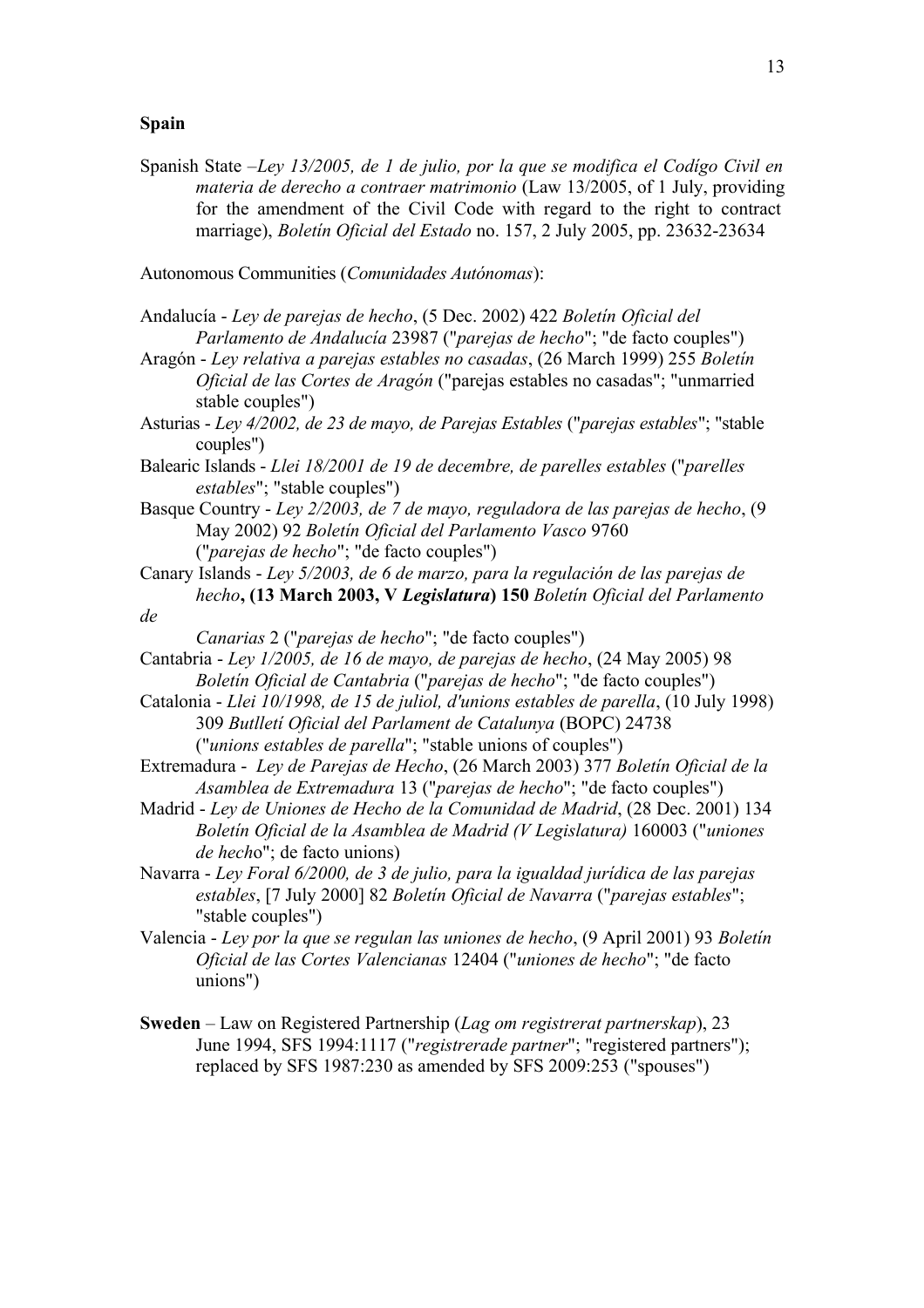## **Spain**

Spanish State –*Ley 13/2005, de 1 de julio, por la que se modifica el Codígo Civil en materia de derecho a contraer matrimonio* (Law 13/2005, of 1 July, providing for the amendment of the Civil Code with regard to the right to contract marriage), *Boletín Oficial del Estado* no. 157, 2 July 2005, pp. 23632-23634

Autonomous Communities (*Comunidades Autónomas*):

Andalucía - *Ley de parejas de hecho*, (5 Dec. 2002) 422 *Boletín Oficial del Parlamento de Andalucía* 23987 ("*parejas de hecho*"; "de facto couples")

Aragón - *Ley relativa a parejas estables no casadas*, (26 March 1999) 255 *Boletín Oficial de las Cortes de Aragón* ("parejas estables no casadas"; "unmarried stable couples")

Asturias - *Ley 4/2002, de 23 de mayo, de Parejas Estables* ("*parejas estables*"; "stable couples")

Balearic Islands - *Llei 18/2001 de 19 de decembre, de parelles estables* ("*parelles estables*"; "stable couples")

Basque Country - *Ley 2/2003, de 7 de mayo, reguladora de las parejas de hecho*, (9 May 2002) 92 *Boletín Oficial del Parlamento Vasco* 9760 ("*parejas de hecho*"; "de facto couples")

Canary Islands - *Ley 5/2003, de 6 de marzo, para la regulación de las parejas de hecho***, (13 March 2003, V** *Legislatura***) 150** *Boletín Oficial del Parlamento de*

*Canarias* 2 ("*parejas de hecho*"; "de facto couples")

Cantabria - *Ley 1/2005, de 16 de mayo, de parejas de hecho*, (24 May 2005) 98 *Boletín Oficial de Cantabria* ("*parejas de hecho*"; "de facto couples")

Catalonia - *Llei 10/1998, de 15 de juliol, d'unions estables de parella*, (10 July 1998) 309 *Butlletí Oficial del Parlament de Catalunya* (BOPC) 24738 ("*unions estables de parella*"; "stable unions of couples")

Extremadura - *Ley de Parejas de Hecho*, (26 March 2003) 377 *Boletín Oficial de la Asamblea de Extremadura* 13 ("*parejas de hecho*"; "de facto couples")

Madrid - *Ley de Uniones de Hecho de la Comunidad de Madrid*, (28 Dec. 2001) 134 *Boletín Oficial de la Asamblea de Madrid (V Legislatura)* 160003 ("*uniones de hech*o"; de facto unions)

Navarra - *Ley Foral 6/2000, de 3 de julio, para la igualdad jurídica de las parejas estables*, [7 July 2000] 82 *Boletín Oficial de Navarra* ("*parejas estables*"; "stable couples")

Valencia - *Ley por la que se regulan las uniones de hecho*, (9 April 2001) 93 *Boletín Oficial de las Cortes Valencianas* 12404 ("*uniones de hecho*"; "de facto unions")

**Sweden** – Law on Registered Partnership (*Lag om registrerat partnerskap*), 23 June 1994, SFS 1994:1117 ("*registrerade partner*"; "registered partners"); replaced by SFS 1987:230 as amended by SFS 2009:253 ("spouses")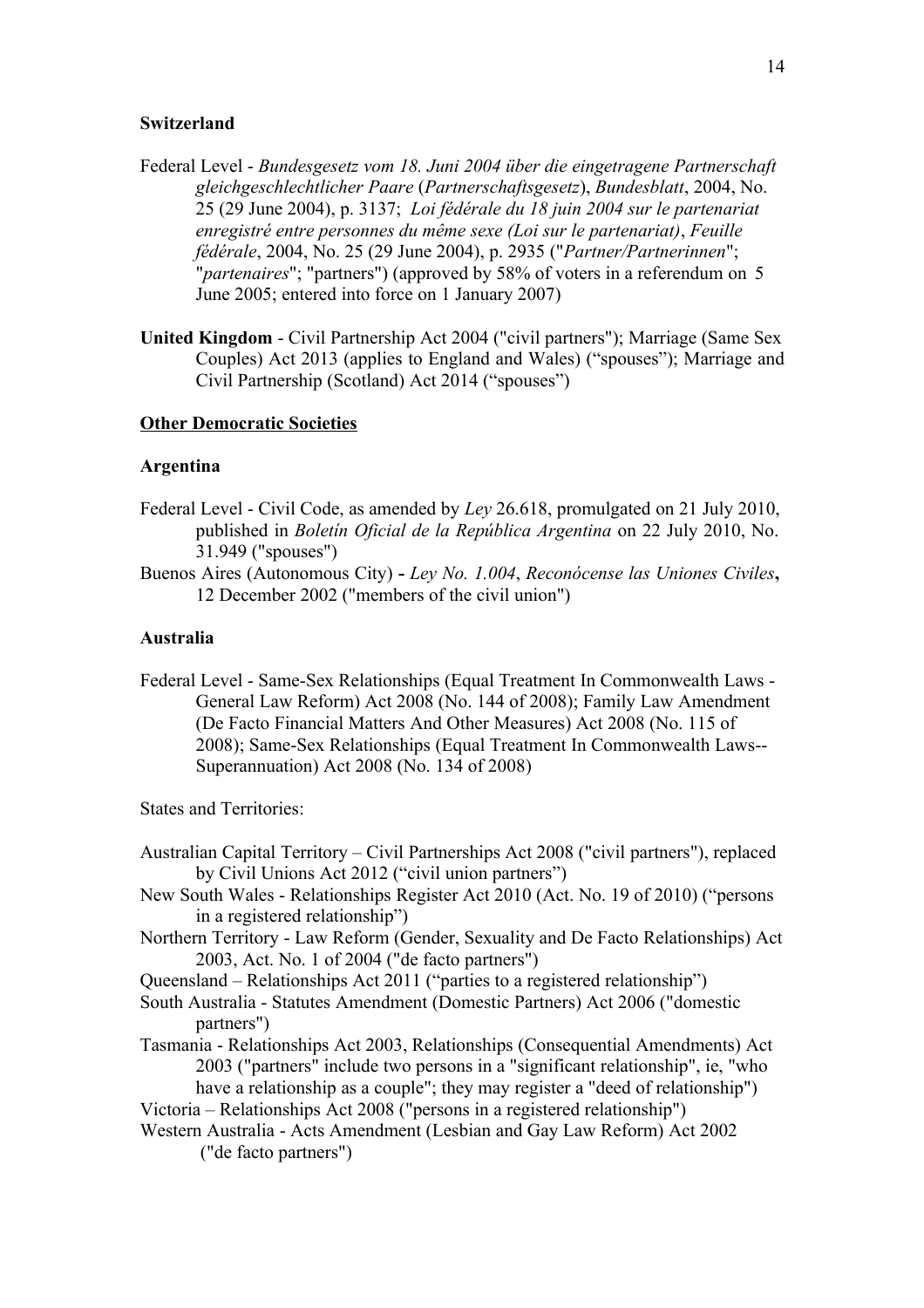#### **Switzerland**

- Federal Level *Bundesgesetz vom 18. Juni 2004 über die eingetragene Partnerschaft gleichgeschlechtlicher Paare* (*Partnerschaftsgesetz*), *Bundesblatt*, 2004, No. 25 (29 June 2004), p. 3137; *Loi fédérale du 18 juin 2004 sur le partenariat enregistré entre personnes du même sexe (Loi sur le partenariat)*, *Feuille fédérale*, 2004, No. 25 (29 June 2004), p. 2935 ("*Partner/Partnerinnen*"; "*partenaires*"; "partners") (approved by 58% of voters in a referendum on 5 June 2005; entered into force on 1 January 2007)
- **United Kingdom** Civil Partnership Act 2004 ("civil partners"); Marriage (Same Sex Couples) Act 2013 (applies to England and Wales) ("spouses"); Marriage and Civil Partnership (Scotland) Act 2014 ("spouses")

## **Other Democratic Societies**

### **Argentina**

- Federal Level Civil Code, as amended by *Ley* 26.618, promulgated on 21 July 2010, published in *Boletín Oficial de la República Argentina* on 22 July 2010, No. 31.949 ("spouses")
- Buenos Aires (Autonomous City)*Ley No. 1.004*, *Reconócense las Uniones Civiles***,**  12 December 2002 ("members of the civil union")

## **Australia**

Federal Level - [Same-Sex Relationships \(Equal Treatment In Commonwealth Laws -](http://www.austlii.edu.au/au/legis/cth/num_act/srticllra2008769/) [General Law Reform\) Act 2008 \(No. 144 of 2008\);](http://www.austlii.edu.au/au/legis/cth/num_act/srticllra2008769/) [Family Law Amendment](http://www.austlii.edu.au/au/legis/cth/num_act/flaffmaoma2008560/)  [\(De Facto Financial Matters And Other Measures\) Act 2008 \(No. 115 of](http://www.austlii.edu.au/au/legis/cth/num_act/flaffmaoma2008560/)  [2008\);](http://www.austlii.edu.au/au/legis/cth/num_act/flaffmaoma2008560/) [Same-Sex Relationships \(Equal Treatment In Commonwealth Laws--](http://www.austlii.edu.au/au/legis/cth/num_act/srticla2008786/) [Superannuation\) Act 2008 \(No. 134 of 2008\)](http://www.austlii.edu.au/au/legis/cth/num_act/srticla2008786/)

States and Territories:

- Australian Capital Territory Civil Partnerships Act 2008 ("civil partners"), replaced by Civil Unions Act 2012 ("civil union partners")
- New South Wales Relationships Register Act 2010 (Act. No. 19 of 2010) ("persons in a registered relationship")
- Northern Territory Law Reform (Gender, Sexuality and De Facto Relationships) Act 2003, Act. No. 1 of 2004 ("de facto partners")
- Queensland Relationships Act 2011 ("parties to a registered relationship")
- South Australia Statutes Amendment (Domestic Partners) Act 2006 ("domestic partners")
- Tasmania Relationships Act 2003, Relationships (Consequential Amendments) Act 2003 ("partners" include two persons in a "significant relationship", ie, "who have a relationship as a couple"; they may register a "deed of relationship")
- Victoria Relationships Act 2008 ("persons in a registered relationship")
- Western Australia Acts Amendment (Lesbian and Gay Law Reform) Act 2002 ("de facto partners")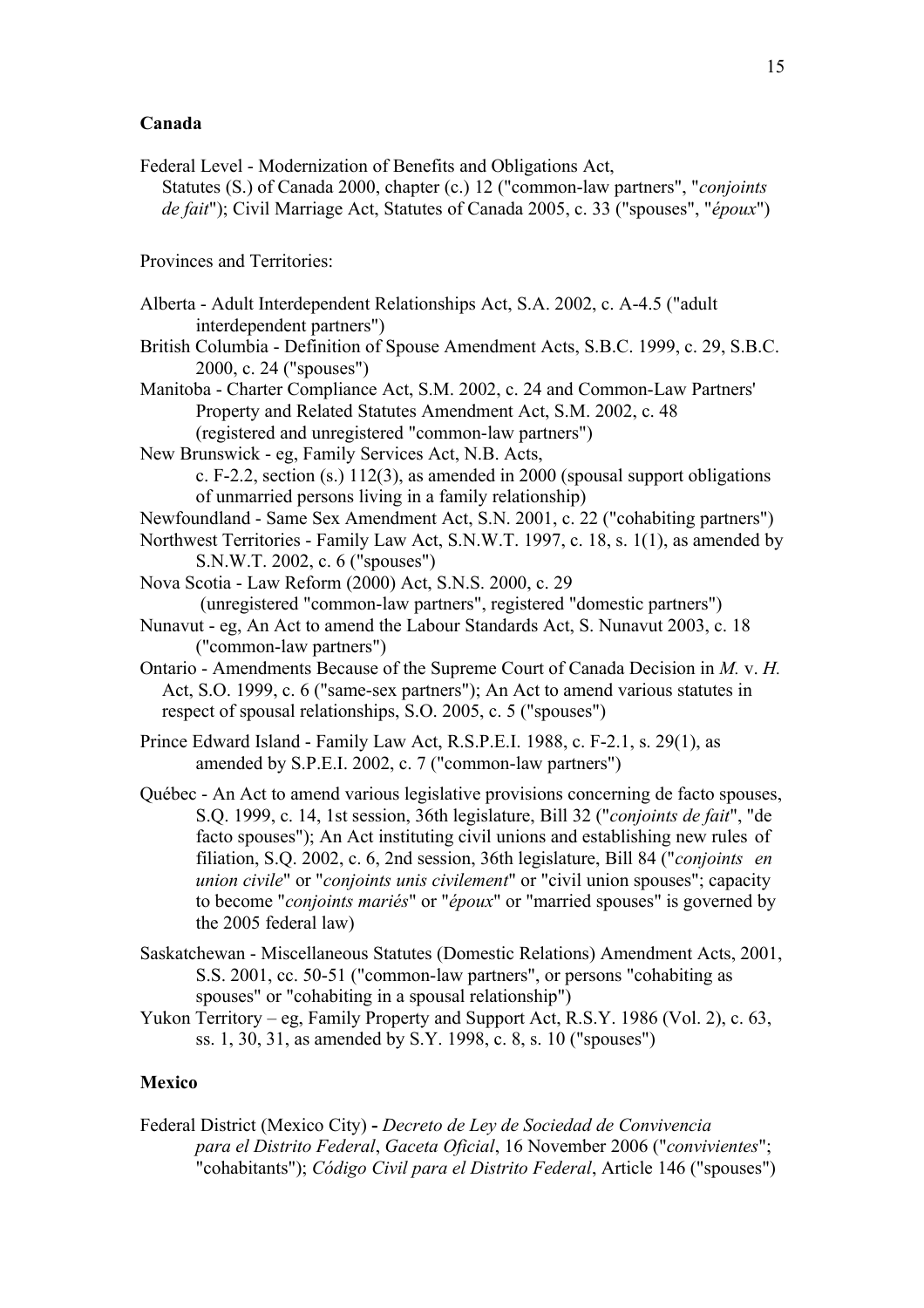## **Canada**

Federal Level - Modernization of Benefits and Obligations Act, Statutes (S.) of Canada 2000, chapter (c.) 12 ("common-law partners", "*conjoints de fait*"); Civil Marriage Act, Statutes of Canada 2005, c. 33 ("spouses", "*époux*")

Provinces and Territories:

- Alberta Adult Interdependent Relationships Act, S.A. 2002, c. A-4.5 ("adult interdependent partners")
- British Columbia Definition of Spouse Amendment Acts, S.B.C. 1999, c. 29, S.B.C. 2000, c. 24 ("spouses")

Manitoba - Charter Compliance Act, S.M. 2002, c. 24 and Common-Law Partners' Property and Related Statutes Amendment Act, S.M. 2002, c. 48 (registered and unregistered "common-law partners")

New Brunswick - eg, Family Services Act, N.B. Acts, c. F-2.2, section (s.) 112(3), as amended in 2000 (spousal support obligations

of unmarried persons living in a family relationship)

- Newfoundland Same Sex Amendment Act, S.N. 2001, c. 22 ("cohabiting partners")
- Northwest Territories Family Law Act, S.N.W.T. 1997, c. 18, s. 1(1), as amended by S.N.W.T. 2002, c. 6 ("spouses")
- Nova Scotia Law Reform (2000) Act, S.N.S. 2000, c. 29 (unregistered "common-law partners", registered "domestic partners")
- Nunavut eg, An Act to amend the Labour Standards Act, S. Nunavut 2003, c. 18 ("common-law partners")
- Ontario Amendments Because of the Supreme Court of Canada Decision in *M.* v. *H.* Act, S.O. 1999, c. 6 ("same-sex partners"); An Act to amend various statutes in respect of spousal relationships, S.O. 2005, c. 5 ("spouses")
- Prince Edward Island Family Law Act, R.S.P.E.I. 1988, c. F-2.1, s. 29(1), as amended by S.P.E.I. 2002, c. 7 ("common-law partners")
- Québec An Act to amend various legislative provisions concerning de facto spouses, S.Q. 1999, c. 14, 1st session, 36th legislature, Bill 32 ("*conjoints de fait*", "de facto spouses"); An Act instituting civil unions and establishing new rules of filiation, S.Q. 2002, c. 6, 2nd session, 36th legislature, Bill 84 ("*conjoints en union civile*" or "*conjoints unis civilement*" or "civil union spouses"; capacity to become "*conjoints mariés*" or "*époux*" or "married spouses" is governed by the 2005 federal law)
- Saskatchewan Miscellaneous Statutes (Domestic Relations) Amendment Acts, 2001, S.S. 2001, cc. 50-51 ("common-law partners", or persons "cohabiting as spouses" or "cohabiting in a spousal relationship")
- Yukon Territory eg, Family Property and Support Act, R.S.Y. 1986 (Vol. 2), c. 63, ss. 1, 30, 31, as amended by S.Y. 1998, c. 8, s. 10 ("spouses")

## **Mexico**

Federal District (Mexico City) **-** *Decreto de Ley de Sociedad de Convivencia para el Distrito Federal*, *Gaceta Oficial*, 16 November 2006 ("*convivientes*"; "cohabitants"); *Código Civil para el Distrito Federal*, Article 146 ("spouses")